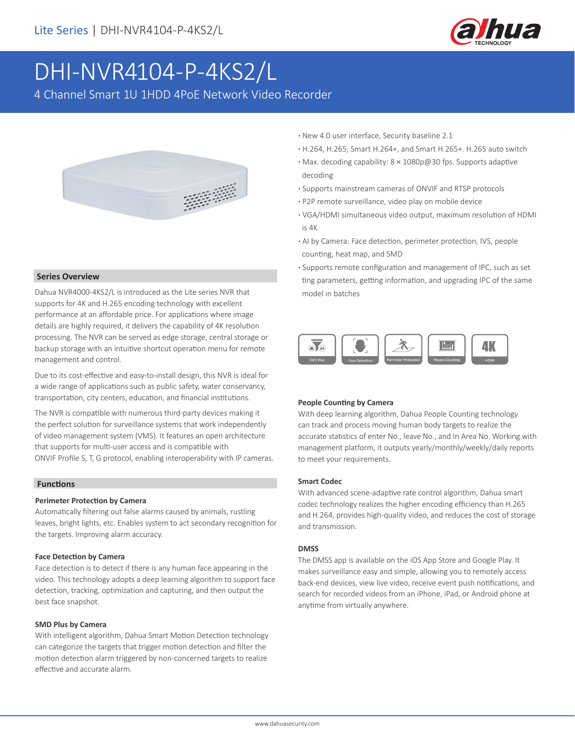

# DHI-NVR4104-P-4KS2/L

4 Channel Smart 1U 1HDD 4PoE Network Video Recorder



#### **Series Overview**

Dahua NVR4000-4KS2/L is introduced as the Lite series NVR that supports for 4K and H.265 encoding technology with excellent performance at an affordable price. For applications where image details are highly required, it delivers the capability of 4K resolution processing. The NVR can be served as edge storage, central storage or backup storage with an intuitive shortcut operation menu for remote management and control.

Due to its cost-effective and easy-to-install design, this NVR is ideal for a wide range of applications such as public safety, water conservancy, transportation, city centers, education, and financial institutions.

The NVR is compatible with numerous third-party devices making it the perfect solution for surveillance systems that work independently of video management system (VMS). It features an open architecture that supports for multi-user access and is compatible with ONVIF Profile S, T, G protocol, enabling interoperability with IP cameras.

#### **Functions**

#### **Perimeter Protection by Camera**

Automatically filtering out false alarms caused by animals, rustling leaves, bright lights, etc. Enables system to act secondary recognition for the targets. Improving alarm accuracy.

#### **Face Detection by Camera**

Face detection is to detect if there is any human face appearing in the video. This technology adopts a deep learning algorithm to support face detection, tracking, optimization and capturing, and then output the best face snapshot.

#### **SMD Plus by Camera**

With intelligent algorithm, Dahua Smart Motion Detection technology can categorize the targets that trigger motion detection and filter the motion detection alarm triggered by non-concerned targets to realize effective and accurate alarm.

- **·** New 4.0 user interface, Security baseline 2.1
- **·** H.264, H.265, Smart H.264+, and Smart H.265+. H.265 auto switch
- **·** Max. decoding capability: 8 × 1080p@30 fps. Supports adaptive decoding
- **·** Supports mainstream cameras of ONVIF and RTSP protocols
- **·** P2P remote surveillance, video play on mobile device
- **·** VGA/HDMI simultaneous video output, maximum resolution of HDMI is 4K
- **·** AI by Camera: Face detection, perimeter protection, IVS, people counting, heat map, and SMD
- **·** Supports remote configuration and management of IPC, such as set ting parameters, getting information, and upgrading IPC of the same model in batches



#### **People Counting by Camera**

With deep learning algorithm, Dahua People Counting technology can track and process moving human body targets to realize the accurate statistics of enter No., leave No., and In Area No. Working with management platform, it outputs yearly/monthly/weekly/daily reports to meet your requirements.

#### **Smart Codec**

With advanced scene-adaptive rate control algorithm, Dahua smart codec technology realizes the higher encoding efficiency than H.265 and H.264, provides high-quality video, and reduces the cost of storage and transmission.

#### **DMSS**

The DMSS app is available on the iOS App Store and Google Play. It makes surveillance easy and simple, allowing you to remotely access back-end devices, view live video, receive event push notifications, and search for recorded videos from an iPhone, iPad, or Android phone at anytime from virtually anywhere.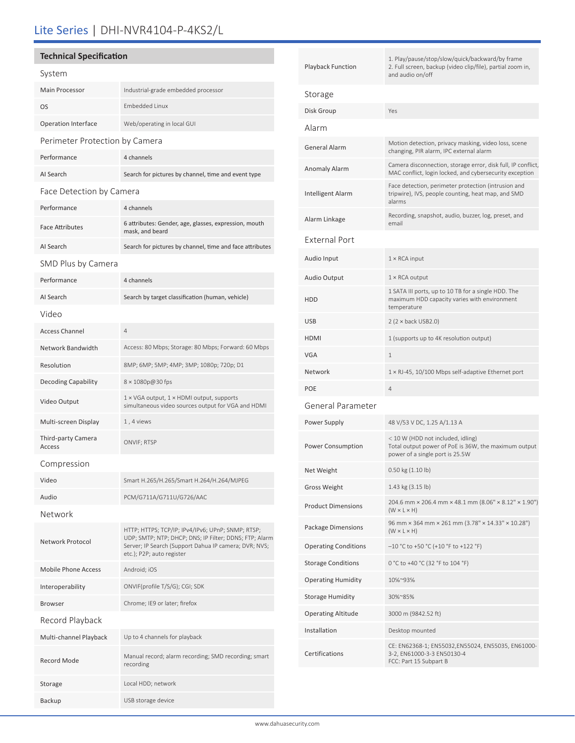# Lite Series | DHI-NVR4104-P-4KS2/L

## **Technical Specification**

| System                         |                                                                                                                                                                                                   |  |  |  |
|--------------------------------|---------------------------------------------------------------------------------------------------------------------------------------------------------------------------------------------------|--|--|--|
| Main Processor                 | Industrial-grade embedded processor                                                                                                                                                               |  |  |  |
| <b>OS</b>                      | <b>Embedded Linux</b>                                                                                                                                                                             |  |  |  |
| <b>Operation Interface</b>     | Web/operating in local GUI                                                                                                                                                                        |  |  |  |
| Perimeter Protection by Camera |                                                                                                                                                                                                   |  |  |  |
| Performance                    | 4 channels                                                                                                                                                                                        |  |  |  |
| AI Search                      | Search for pictures by channel, time and event type                                                                                                                                               |  |  |  |
| Face Detection by Camera       |                                                                                                                                                                                                   |  |  |  |
| Performance                    | 4 channels                                                                                                                                                                                        |  |  |  |
| <b>Face Attributes</b>         | 6 attributes: Gender, age, glasses, expression, mouth<br>mask, and beard                                                                                                                          |  |  |  |
| AI Search                      | Search for pictures by channel, time and face attributes                                                                                                                                          |  |  |  |
| SMD Plus by Camera             |                                                                                                                                                                                                   |  |  |  |
| Performance                    | 4 channels                                                                                                                                                                                        |  |  |  |
| AI Search                      | Search by target classification (human, vehicle)                                                                                                                                                  |  |  |  |
| Video                          |                                                                                                                                                                                                   |  |  |  |
| <b>Access Channel</b>          | $\overline{4}$                                                                                                                                                                                    |  |  |  |
| Network Bandwidth              | Access: 80 Mbps; Storage: 80 Mbps; Forward: 60 Mbps                                                                                                                                               |  |  |  |
| Resolution                     | 8MP; 6MP; 5MP; 4MP; 3MP; 1080p; 720p; D1                                                                                                                                                          |  |  |  |
| <b>Decoding Capability</b>     | 8 × 1080p@30 fps                                                                                                                                                                                  |  |  |  |
| Video Output                   | 1 × VGA output, 1 × HDMI output, supports<br>simultaneous video sources output for VGA and HDMI                                                                                                   |  |  |  |
| Multi-screen Display           | 1, 4 views                                                                                                                                                                                        |  |  |  |
| Third-party Camera<br>Access   | ONVIF; RTSP                                                                                                                                                                                       |  |  |  |
| Compression                    |                                                                                                                                                                                                   |  |  |  |
| Video                          | Smart H.265/H.265/Smart H.264/H.264/MJPEG                                                                                                                                                         |  |  |  |
| Audio                          | PCM/G711A/G711U/G726/AAC                                                                                                                                                                          |  |  |  |
| Network                        |                                                                                                                                                                                                   |  |  |  |
| Network Protocol               | HTTP; HTTPS; TCP/IP; IPv4/IPv6; UPnP; SNMP; RTSP;<br>UDP; SMTP; NTP; DHCP; DNS; IP Filter; DDNS; FTP; Alarm<br>Server; IP Search (Support Dahua IP camera; DVR; NVS;<br>etc.); P2P; auto register |  |  |  |
| Mobile Phone Access            | Android; iOS                                                                                                                                                                                      |  |  |  |
| Interoperability               | ONVIF(profile T/S/G); CGI; SDK                                                                                                                                                                    |  |  |  |
| <b>Browser</b>                 | Chrome; IE9 or later; firefox                                                                                                                                                                     |  |  |  |
| Record Playback                |                                                                                                                                                                                                   |  |  |  |
| Multi-channel Playback         | Up to 4 channels for playback                                                                                                                                                                     |  |  |  |
| <b>Record Mode</b>             | Manual record; alarm recording; SMD recording; smart<br>recording                                                                                                                                 |  |  |  |
| Storage                        | Local HDD; network                                                                                                                                                                                |  |  |  |

Backup USB storage device

| Playback Function           | 1. Play/pause/stop/slow/quick/backward/by frame<br>2. Full screen, backup (video clip/file), partial zoom in,<br>and audio on/off |  |
|-----------------------------|-----------------------------------------------------------------------------------------------------------------------------------|--|
| Storage                     |                                                                                                                                   |  |
| Disk Group                  | Yes                                                                                                                               |  |
| Alarm                       |                                                                                                                                   |  |
| General Alarm               | Motion detection, privacy masking, video loss, scene<br>changing, PIR alarm, IPC external alarm                                   |  |
| Anomaly Alarm               | Camera disconnection, storage error, disk full, IP conflict,<br>MAC conflict, login locked, and cybersecurity exception           |  |
| Intelligent Alarm           | Face detection, perimeter protection (intrusion and<br>tripwire), IVS, people counting, heat map, and SMD<br>alarms               |  |
| Alarm Linkage               | Recording, snapshot, audio, buzzer, log, preset, and<br>email                                                                     |  |
| <b>External Port</b>        |                                                                                                                                   |  |
| Audio Input                 | $1 \times$ RCA input                                                                                                              |  |
| Audio Output                | $1 \times$ RCA output                                                                                                             |  |
| HDD                         | 1 SATA III ports, up to 10 TB for a single HDD. The<br>maximum HDD capacity varies with environment<br>temperature                |  |
| USB                         | $2 (2 \times back USB2.0)$                                                                                                        |  |
| HDMI                        | 1 (supports up to 4K resolution output)                                                                                           |  |
| VGA                         | $\mathbf{1}$                                                                                                                      |  |
| Network                     | $1 \times R$ J-45, 10/100 Mbps self-adaptive Ethernet port                                                                        |  |
| POE                         | $\overline{4}$                                                                                                                    |  |
| General Parameter           |                                                                                                                                   |  |
| Power Supply                | 48 V/53 V DC, 1.25 A/1.13 A                                                                                                       |  |
| Power Consumption           | < 10 W (HDD not included, idling)<br>Total output power of PoE is 36W, the maximum output<br>power of a single port is 25.5W      |  |
| Net Weight                  | 0.50 kg (1.10 lb)                                                                                                                 |  |
| Gross Weight                | 1.43 kg (3.15 lb)                                                                                                                 |  |
| <b>Product Dimensions</b>   | 204.6 mm × 206.4 mm × 48.1 mm (8.06" × 8.12" × 1.90")<br>$(W \times L \times H)$                                                  |  |
| Package Dimensions          | 96 mm × 364 mm × 261 mm (3.78" × 14.33" × 10.28")<br>$(W \times L \times H)$                                                      |  |
| <b>Operating Conditions</b> | $-10$ °C to +50 °C (+10 °F to +122 °F)                                                                                            |  |
| <b>Storage Conditions</b>   | 0 °C to +40 °C (32 °F to 104 °F)                                                                                                  |  |
| Operating Humidity          | 10%~93%                                                                                                                           |  |
| Storage Humidity            | 30%~85%                                                                                                                           |  |
| Operating Altitude          | 3000 m (9842.52 ft)                                                                                                               |  |
| Installation                | Desktop mounted                                                                                                                   |  |
| Certifications              | CE: EN62368-1; EN55032,EN55024, EN55035, EN61000-<br>3-2, EN61000-3-3 EN50130-4<br>FCC: Part 15 Subpart B                         |  |